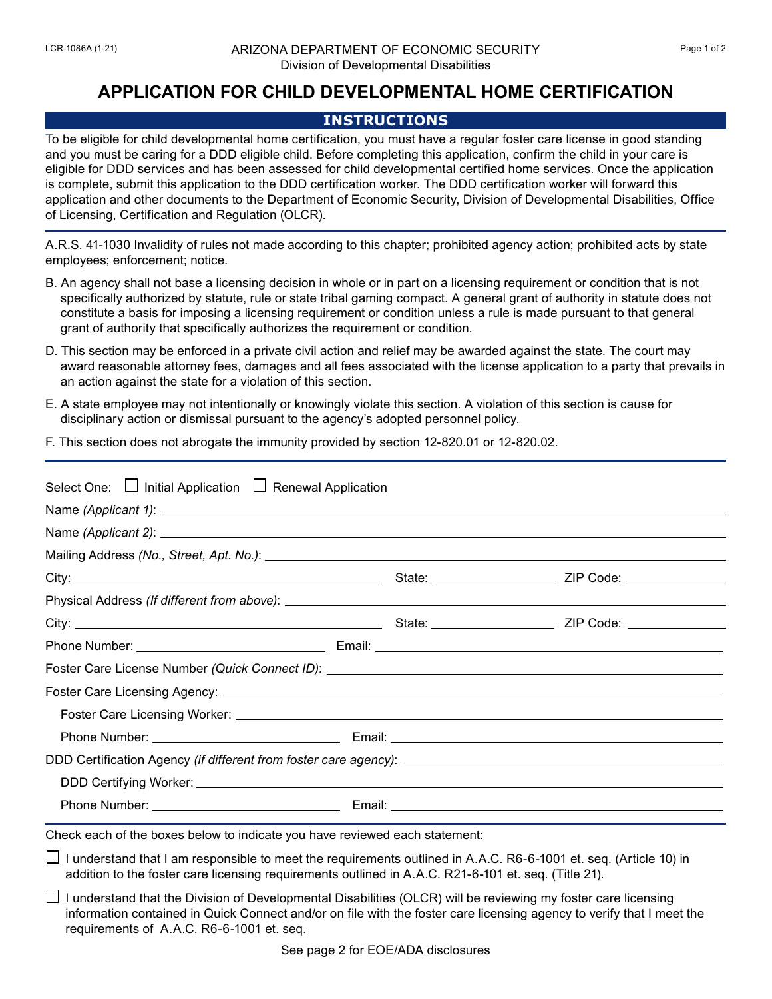## **APPLICATION FOR CHILD DEVELOPMENTAL HOME CERTIFICATION**

## **INSTRUCTIONS**

To be eligible for child developmental home certification, you must have a regular foster care license in good standing and you must be caring for a DDD eligible child. Before completing this application, confirm the child in your care is eligible for DDD services and has been assessed for child developmental certified home services. Once the application is complete, submit this application to the DDD certification worker. The DDD certification worker will forward this application and other documents to the Department of Economic Security, Division of Developmental Disabilities, Office of Licensing, Certification and Regulation (OLCR).

A.R.S. 41-1030 Invalidity of rules not made according to this chapter; prohibited agency action; prohibited acts by state employees; enforcement; notice.

- B. An agency shall not base a licensing decision in whole or in part on a licensing requirement or condition that is not specifically authorized by statute, rule or state tribal gaming compact. A general grant of authority in statute does not constitute a basis for imposing a licensing requirement or condition unless a rule is made pursuant to that general grant of authority that specifically authorizes the requirement or condition.
- D. This section may be enforced in a private civil action and relief may be awarded against the state. The court may award reasonable attorney fees, damages and all fees associated with the license application to a party that prevails in an action against the state for a violation of this section.
- E. A state employee may not intentionally or knowingly violate this section. A violation of this section is cause for disciplinary action or dismissal pursuant to the agency's adopted personnel policy.
- F. This section does not abrogate the immunity provided by section 12-820.01 or 12-820.02.

| Select One: □ Initial Application □ Renewal Application                     |  |  |  |  |
|-----------------------------------------------------------------------------|--|--|--|--|
|                                                                             |  |  |  |  |
|                                                                             |  |  |  |  |
|                                                                             |  |  |  |  |
|                                                                             |  |  |  |  |
|                                                                             |  |  |  |  |
|                                                                             |  |  |  |  |
|                                                                             |  |  |  |  |
|                                                                             |  |  |  |  |
|                                                                             |  |  |  |  |
|                                                                             |  |  |  |  |
|                                                                             |  |  |  |  |
|                                                                             |  |  |  |  |
|                                                                             |  |  |  |  |
|                                                                             |  |  |  |  |
| Check each of the boxes below to indicate you have reviewed each statement: |  |  |  |  |

- $\Box$  I understand that I am responsible to meet the requirements outlined in A.A.C. R6-6-1001 et. seq. (Article 10) in addition to the foster care licensing requirements outlined in A.A.C. R21-6-101 et. seq. (Title 21).
- $\Box$  I understand that the Division of Developmental Disabilities (OLCR) will be reviewing my foster care licensing information contained in Quick Connect and/or on file with the foster care licensing agency to verify that I meet the requirements of A.A.C. R6-6-1001 et. seq.